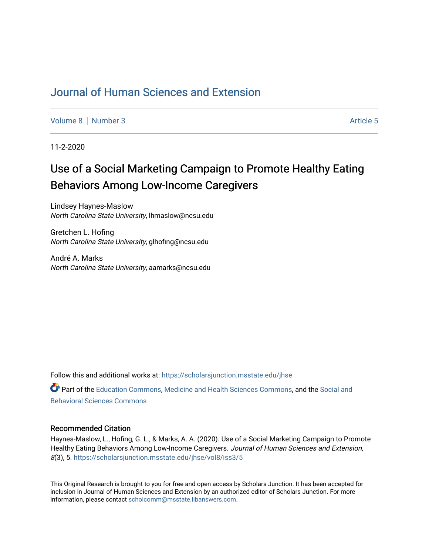# [Journal of Human Sciences and Extension](https://scholarsjunction.msstate.edu/jhse)

[Volume 8](https://scholarsjunction.msstate.edu/jhse/vol8) [Number 3](https://scholarsjunction.msstate.edu/jhse/vol8/iss3) Article 5

11-2-2020

# Use of a Social Marketing Campaign to Promote Healthy Eating Behaviors Among Low-Income Caregivers

Lindsey Haynes-Maslow North Carolina State University, lhmaslow@ncsu.edu

Gretchen L. Hofing North Carolina State University, glhofing@ncsu.edu

André A. Marks North Carolina State University, aamarks@ncsu.edu

Follow this and additional works at: [https://scholarsjunction.msstate.edu/jhse](https://scholarsjunction.msstate.edu/jhse?utm_source=scholarsjunction.msstate.edu%2Fjhse%2Fvol8%2Fiss3%2F5&utm_medium=PDF&utm_campaign=PDFCoverPages) Part of the [Education Commons](http://network.bepress.com/hgg/discipline/784?utm_source=scholarsjunction.msstate.edu%2Fjhse%2Fvol8%2Fiss3%2F5&utm_medium=PDF&utm_campaign=PDFCoverPages), [Medicine and Health Sciences Commons,](http://network.bepress.com/hgg/discipline/648?utm_source=scholarsjunction.msstate.edu%2Fjhse%2Fvol8%2Fiss3%2F5&utm_medium=PDF&utm_campaign=PDFCoverPages) and the [Social and](http://network.bepress.com/hgg/discipline/316?utm_source=scholarsjunction.msstate.edu%2Fjhse%2Fvol8%2Fiss3%2F5&utm_medium=PDF&utm_campaign=PDFCoverPages) [Behavioral Sciences Commons](http://network.bepress.com/hgg/discipline/316?utm_source=scholarsjunction.msstate.edu%2Fjhse%2Fvol8%2Fiss3%2F5&utm_medium=PDF&utm_campaign=PDFCoverPages) 

#### Recommended Citation

Haynes-Maslow, L., Hofing, G. L., & Marks, A. A. (2020). Use of a Social Marketing Campaign to Promote Healthy Eating Behaviors Among Low-Income Caregivers. Journal of Human Sciences and Extension, 8(3), 5. [https://scholarsjunction.msstate.edu/jhse/vol8/iss3/5](https://scholarsjunction.msstate.edu/jhse/vol8/iss3/5?utm_source=scholarsjunction.msstate.edu%2Fjhse%2Fvol8%2Fiss3%2F5&utm_medium=PDF&utm_campaign=PDFCoverPages) 

This Original Research is brought to you for free and open access by Scholars Junction. It has been accepted for inclusion in Journal of Human Sciences and Extension by an authorized editor of Scholars Junction. For more information, please contact [scholcomm@msstate.libanswers.com](mailto:scholcomm@msstate.libanswers.com).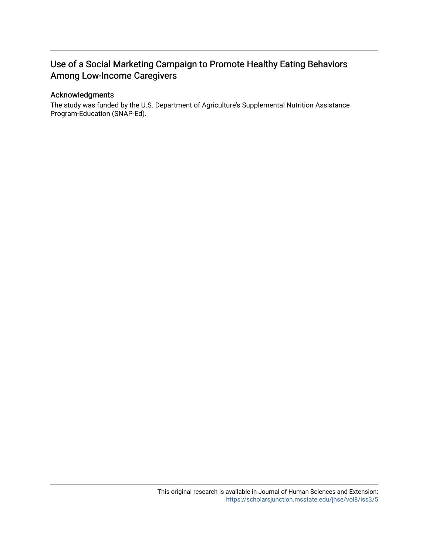# Use of a Social Marketing Campaign to Promote Healthy Eating Behaviors Among Low-Income Caregivers

#### Acknowledgments

The study was funded by the U.S. Department of Agriculture's Supplemental Nutrition Assistance Program-Education (SNAP-Ed).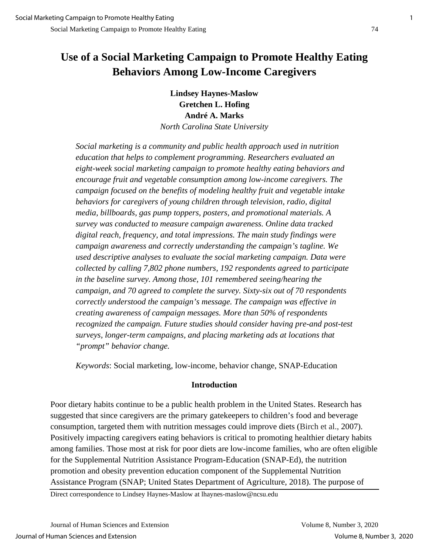# **Use of a Social Marketing Campaign to Promote Healthy Eating Behaviors Among Low-Income Caregivers**

**Lindsey Haynes-Maslow Gretchen L. Hofing André A. Marks** *North Carolina State University* 

*Social marketing is a community and public health approach used in nutrition education that helps to complement programming. Researchers evaluated an eight-week social marketing campaign to promote healthy eating behaviors and encourage fruit and vegetable consumption among low-income caregivers. The campaign focused on the benefits of modeling healthy fruit and vegetable intake behaviors for caregivers of young children through television, radio, digital media, billboards, gas pump toppers, posters, and promotional materials. A survey was conducted to measure campaign awareness. Online data tracked digital reach, frequency, and total impressions. The main study findings were campaign awareness and correctly understanding the campaign's tagline. We used descriptive analyses to evaluate the social marketing campaign. Data were collected by calling 7,802 phone numbers, 192 respondents agreed to participate in the baseline survey. Among those, 101 remembered seeing/hearing the campaign, and 70 agreed to complete the survey. Sixty-six out of 70 respondents correctly understood the campaign's message. The campaign was effective in creating awareness of campaign messages. More than 50% of respondents recognized the campaign. Future studies should consider having pre-and post-test surveys, longer-term campaigns, and placing marketing ads at locations that "prompt" behavior change.* 

*Keywords*: Social marketing, low-income, behavior change, SNAP-Education

### **Introduction**

Poor dietary habits continue to be a public health problem in the United States. Research has suggested that since caregivers are the primary gatekeepers to children's food and beverage consumption, targeted them with nutrition messages could improve diets (Birch et al., 2007). Positively impacting caregivers eating behaviors is critical to promoting healthier dietary habits among families. Those most at risk for poor diets are low-income families, who are often eligible for the Supplemental Nutrition Assistance Program-Education (SNAP-Ed), the nutrition promotion and obesity prevention education component of the Supplemental Nutrition Assistance Program (SNAP; United States Department of Agriculture, 2018). The purpose of

Direct correspondence to Lindsey Haynes-Maslow at lhaynes-maslow@ncsu.edu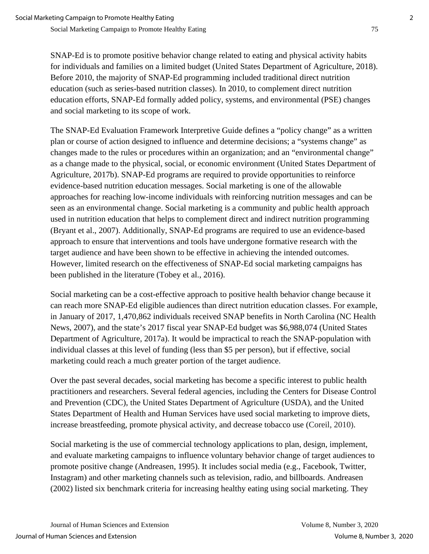SNAP-Ed is to promote positive behavior change related to eating and physical activity habits for individuals and families on a limited budget (United States Department of Agriculture, 2018). Before 2010, the majority of SNAP-Ed programming included traditional direct nutrition education (such as series-based nutrition classes). In 2010, to complement direct nutrition education efforts, SNAP-Ed formally added policy, systems, and environmental (PSE) changes and social marketing to its scope of work.

The SNAP-Ed Evaluation Framework Interpretive Guide defines a "policy change" as a written plan or course of action designed to influence and determine decisions; a "systems change" as changes made to the rules or procedures within an organization; and an "environmental change" as a change made to the physical, social, or economic environment (United States Department of Agriculture, 2017b). SNAP-Ed programs are required to provide opportunities to reinforce evidence-based nutrition education messages. Social marketing is one of the allowable approaches for reaching low-income individuals with reinforcing nutrition messages and can be seen as an environmental change. Social marketing is a community and public health approach used in nutrition education that helps to complement direct and indirect nutrition programming (Bryant et al., 2007). Additionally, SNAP-Ed programs are required to use an evidence-based approach to ensure that interventions and tools have undergone formative research with the target audience and have been shown to be effective in achieving the intended outcomes. However, limited research on the effectiveness of SNAP-Ed social marketing campaigns has been published in the literature (Tobey et al., 2016).

Social marketing can be a cost-effective approach to positive health behavior change because it can reach more SNAP-Ed eligible audiences than direct nutrition education classes. For example, in January of 2017, 1,470,862 individuals received SNAP benefits in North Carolina (NC Health News, 2007), and the state's 2017 fiscal year SNAP-Ed budget was \$6,988,074 (United States Department of Agriculture, 2017a). It would be impractical to reach the SNAP-population with individual classes at this level of funding (less than \$5 per person), but if effective, social marketing could reach a much greater portion of the target audience.

Over the past several decades, social marketing has become a specific interest to public health practitioners and researchers. Several federal agencies, including the Centers for Disease Control and Prevention (CDC), the United States Department of Agriculture (USDA), and the United States Department of Health and Human Services have used social marketing to improve diets, increase breastfeeding, promote physical activity, and decrease tobacco use (Coreil, 2010).

Social marketing is the use of commercial technology applications to plan, design, implement, and evaluate marketing campaigns to influence voluntary behavior change of target audiences to promote positive change (Andreasen, 1995). It includes social media (e.g., Facebook, Twitter, Instagram) and other marketing channels such as television, radio, and billboards. Andreasen (2002) listed six benchmark criteria for increasing healthy eating using social marketing. They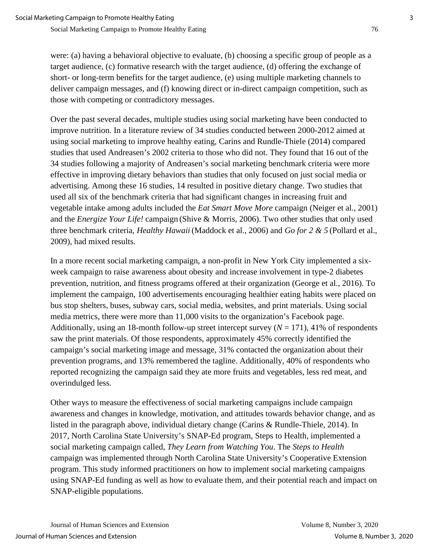were: (a) having a behavioral objective to evaluate, (b) choosing a specific group of people as a target audience, (c) formative research with the target audience, (d) offering the exchange of short- or long-term benefits for the target audience, (e) using multiple marketing channels to deliver campaign messages, and (f) knowing direct or in-direct campaign competition, such as those with competing or contradictory messages.

Over the past several decades, multiple studies using social marketing have been conducted to improve nutrition. In a literature review of 34 studies conducted between 2000-2012 aimed at using social marketing to improve healthy eating, Carins and Rundle-Thiele (2014) compared studies that used Andreasen's 2002 criteria to those who did not. They found that 16 out of the 34 studies following a majority of Andreasen's social marketing benchmark criteria were more effective in improving dietary behaviors than studies that only focused on just social media or advertising. Among these 16 studies, 14 resulted in positive dietary change. Two studies that used all six of the benchmark criteria that had significant changes in increasing fruit and vegetable intake among adults included the *Eat Smart Move More* campaign (Neiger et al., 2001) and the *Energize Your Life!* campaign (Shive & Morris, 2006). Two other studies that only used three benchmark criteria, *Healthy Hawaii* (Maddock et al., 2006) and *Go for 2 & 5* (Pollard et al., 2009), had mixed results.

In a more recent social marketing campaign, a non-profit in New York City implemented a sixweek campaign to raise awareness about obesity and increase involvement in type-2 diabetes prevention, nutrition, and fitness programs offered at their organization (George et al., 2016). To implement the campaign, 100 advertisements encouraging healthier eating habits were placed on bus stop shelters, buses, subway cars, social media, websites, and print materials. Using social media metrics, there were more than 11,000 visits to the organization's Facebook page. Additionally, using an 18-month follow-up street intercept survey  $(N = 171)$ , 41% of respondents saw the print materials. Of those respondents, approximately 45% correctly identified the campaign's social marketing image and message, 31% contacted the organization about their prevention programs, and 13% remembered the tagline. Additionally, 40% of respondents who reported recognizing the campaign said they ate more fruits and vegetables, less red meat, and overindulged less.

Other ways to measure the effectiveness of social marketing campaigns include campaign awareness and changes in knowledge, motivation, and attitudes towards behavior change, and as listed in the paragraph above, individual dietary change (Carins & Rundle-Thiele, 2014). In 2017, North Carolina State University's SNAP-Ed program, Steps to Health, implemented a social marketing campaign called, *They Learn from Watching You*. The *Steps to Health* campaign was implemented through North Carolina State University's Cooperative Extension program. This study informed practitioners on how to implement social marketing campaigns using SNAP-Ed funding as well as how to evaluate them, and their potential reach and impact on SNAP-eligible populations.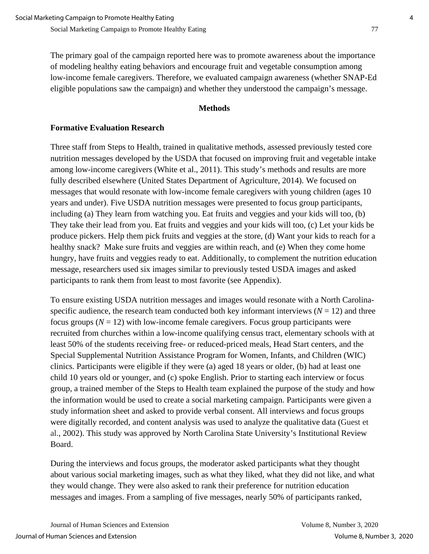The primary goal of the campaign reported here was to promote awareness about the importance of modeling healthy eating behaviors and encourage fruit and vegetable consumption among low-income female caregivers. Therefore, we evaluated campaign awareness (whether SNAP-Ed eligible populations saw the campaign) and whether they understood the campaign's message.

#### **Methods**

# **Formative Evaluation Research**

Three staff from Steps to Health, trained in qualitative methods, assessed previously tested core nutrition messages developed by the USDA that focused on improving fruit and vegetable intake among low-income caregivers (White et al., 2011). This study's methods and results are more fully described elsewhere (United States Department of Agriculture, 2014). We focused on messages that would resonate with low-income female caregivers with young children (ages 10 years and under). Five USDA nutrition messages were presented to focus group participants, including (a) They learn from watching you. Eat fruits and veggies and your kids will too, (b) They take their lead from you. Eat fruits and veggies and your kids will too, (c) Let your kids be produce pickers. Help them pick fruits and veggies at the store, (d) Want your kids to reach for a healthy snack? Make sure fruits and veggies are within reach, and (e) When they come home hungry, have fruits and veggies ready to eat. Additionally, to complement the nutrition education message, researchers used six images similar to previously tested USDA images and asked participants to rank them from least to most favorite (see Appendix).

To ensure existing USDA nutrition messages and images would resonate with a North Carolinaspecific audience, the research team conducted both key informant interviews  $(N = 12)$  and three focus groups  $(N = 12)$  with low-income female caregivers. Focus group participants were recruited from churches within a low-income qualifying census tract, elementary schools with at least 50% of the students receiving free- or reduced-priced meals, Head Start centers, and the Special Supplemental Nutrition Assistance Program for Women, Infants, and Children (WIC) clinics. Participants were eligible if they were (a) aged 18 years or older, (b) had at least one child 10 years old or younger, and (c) spoke English. Prior to starting each interview or focus group, a trained member of the Steps to Health team explained the purpose of the study and how the information would be used to create a social marketing campaign. Participants were given a study information sheet and asked to provide verbal consent. All interviews and focus groups were digitally recorded, and content analysis was used to analyze the qualitative data (Guest et al., 2002). This study was approved by North Carolina State University's Institutional Review Board.

During the interviews and focus groups, the moderator asked participants what they thought about various social marketing images, such as what they liked, what they did not like, and what they would change. They were also asked to rank their preference for nutrition education messages and images. From a sampling of five messages, nearly 50% of participants ranked,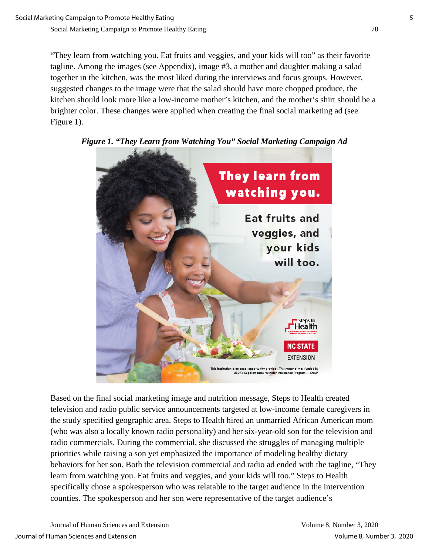"They learn from watching you. Eat fruits and veggies, and your kids will too" as their favorite tagline. Among the images (see Appendix), image #3, a mother and daughter making a salad together in the kitchen, was the most liked during the interviews and focus groups. However, suggested changes to the image were that the salad should have more chopped produce, the kitchen should look more like a low-income mother's kitchen, and the mother's shirt should be a brighter color. These changes were applied when creating the final social marketing ad (see Figure 1).



*Figure 1. "They Learn from Watching You" Social Marketing Campaign Ad* 

Based on the final social marketing image and nutrition message, Steps to Health created television and radio public service announcements targeted at low-income female caregivers in the study specified geographic area. Steps to Health hired an unmarried African American mom (who was also a locally known radio personality) and her six-year-old son for the television and radio commercials. During the commercial, she discussed the struggles of managing multiple priorities while raising a son yet emphasized the importance of modeling healthy dietary behaviors for her son. Both the television commercial and radio ad ended with the tagline, "They learn from watching you. Eat fruits and veggies, and your kids will too." Steps to Health specifically chose a spokesperson who was relatable to the target audience in the intervention counties. The spokesperson and her son were representative of the target audience's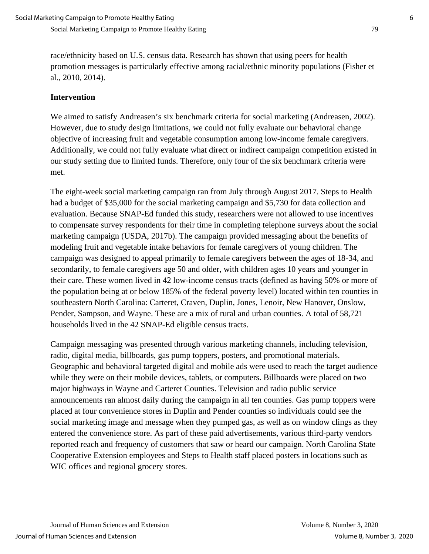race/ethnicity based on U.S. census data. Research has shown that using peers for health promotion messages is particularly effective among racial/ethnic minority populations (Fisher et al., 2010, 2014).

# **Intervention**

We aimed to satisfy Andreasen's six benchmark criteria for social marketing (Andreasen, 2002). However, due to study design limitations, we could not fully evaluate our behavioral change objective of increasing fruit and vegetable consumption among low-income female caregivers. Additionally, we could not fully evaluate what direct or indirect campaign competition existed in our study setting due to limited funds. Therefore, only four of the six benchmark criteria were met.

The eight-week social marketing campaign ran from July through August 2017. Steps to Health had a budget of \$35,000 for the social marketing campaign and \$5,730 for data collection and evaluation. Because SNAP-Ed funded this study, researchers were not allowed to use incentives to compensate survey respondents for their time in completing telephone surveys about the social marketing campaign (USDA, 2017b). The campaign provided messaging about the benefits of modeling fruit and vegetable intake behaviors for female caregivers of young children. The campaign was designed to appeal primarily to female caregivers between the ages of 18-34, and secondarily, to female caregivers age 50 and older, with children ages 10 years and younger in their care. These women lived in 42 low-income census tracts (defined as having 50% or more of the population being at or below 185% of the federal poverty level) located within ten counties in southeastern North Carolina: Carteret, Craven, Duplin, Jones, Lenoir, New Hanover, Onslow, Pender, Sampson, and Wayne. These are a mix of rural and urban counties. A total of 58,721 households lived in the 42 SNAP-Ed eligible census tracts.

Campaign messaging was presented through various marketing channels, including television, radio, digital media, billboards, gas pump toppers, posters, and promotional materials. Geographic and behavioral targeted digital and mobile ads were used to reach the target audience while they were on their mobile devices, tablets, or computers. Billboards were placed on two major highways in Wayne and Carteret Counties. Television and radio public service announcements ran almost daily during the campaign in all ten counties. Gas pump toppers were placed at four convenience stores in Duplin and Pender counties so individuals could see the social marketing image and message when they pumped gas, as well as on window clings as they entered the convenience store. As part of these paid advertisements, various third-party vendors reported reach and frequency of customers that saw or heard our campaign. North Carolina State Cooperative Extension employees and Steps to Health staff placed posters in locations such as WIC offices and regional grocery stores.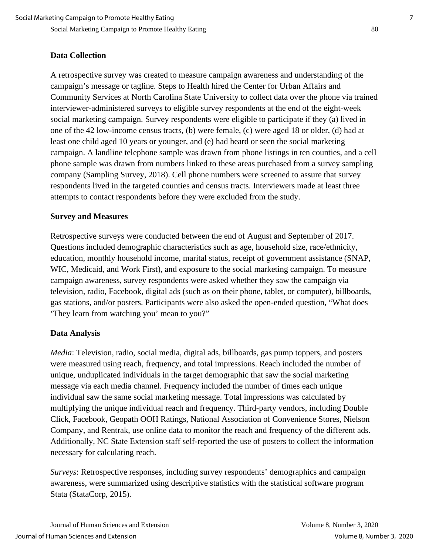# **Data Collection**

A retrospective survey was created to measure campaign awareness and understanding of the campaign's message or tagline. Steps to Health hired the Center for Urban Affairs and Community Services at North Carolina State University to collect data over the phone via trained interviewer-administered surveys to eligible survey respondents at the end of the eight-week social marketing campaign. Survey respondents were eligible to participate if they (a) lived in one of the 42 low-income census tracts, (b) were female, (c) were aged 18 or older, (d) had at least one child aged 10 years or younger, and (e) had heard or seen the social marketing campaign. A landline telephone sample was drawn from phone listings in ten counties, and a cell phone sample was drawn from numbers linked to these areas purchased from a survey sampling company (Sampling Survey, 2018). Cell phone numbers were screened to assure that survey respondents lived in the targeted counties and census tracts. Interviewers made at least three attempts to contact respondents before they were excluded from the study.

#### **Survey and Measures**

Retrospective surveys were conducted between the end of August and September of 2017. Questions included demographic characteristics such as age, household size, race/ethnicity, education, monthly household income, marital status, receipt of government assistance (SNAP, WIC, Medicaid, and Work First), and exposure to the social marketing campaign. To measure campaign awareness, survey respondents were asked whether they saw the campaign via television, radio, Facebook, digital ads (such as on their phone, tablet, or computer), billboards, gas stations, and/or posters. Participants were also asked the open-ended question, "What does 'They learn from watching you' mean to you?"

### **Data Analysis**

*Media*: Television, radio, social media, digital ads, billboards, gas pump toppers, and posters were measured using reach, frequency, and total impressions. Reach included the number of unique, unduplicated individuals in the target demographic that saw the social marketing message via each media channel. Frequency included the number of times each unique individual saw the same social marketing message. Total impressions was calculated by multiplying the unique individual reach and frequency. Third-party vendors, including Double Click, Facebook, Geopath OOH Ratings, National Association of Convenience Stores, Nielson Company, and Rentrak, use online data to monitor the reach and frequency of the different ads. Additionally, NC State Extension staff self-reported the use of posters to collect the information necessary for calculating reach.

*Surveys*: Retrospective responses, including survey respondents' demographics and campaign awareness, were summarized using descriptive statistics with the statistical software program Stata (StataCorp, 2015).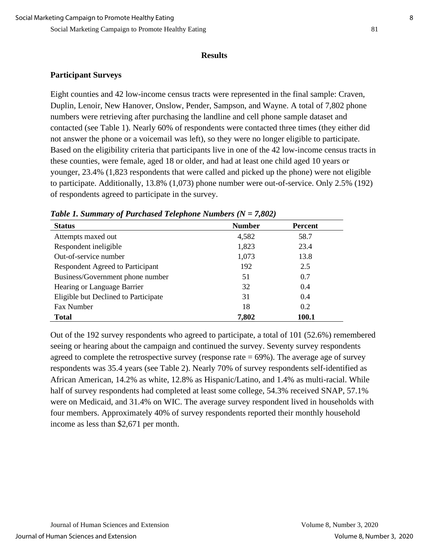#### **Results**

# **Participant Surveys**

Eight counties and 42 low-income census tracts were represented in the final sample: Craven, Duplin, Lenoir, New Hanover, Onslow, Pender, Sampson, and Wayne. A total of 7,802 phone numbers were retrieving after purchasing the landline and cell phone sample dataset and contacted (see Table 1). Nearly 60% of respondents were contacted three times (they either did not answer the phone or a voicemail was left), so they were no longer eligible to participate. Based on the eligibility criteria that participants live in one of the 42 low-income census tracts in these counties, were female, aged 18 or older, and had at least one child aged 10 years or younger, 23.4% (1,823 respondents that were called and picked up the phone) were not eligible to participate. Additionally, 13.8% (1,073) phone number were out-of-service. Only 2.5% (192) of respondents agreed to participate in the survey.

| <b>Status</b>                        | <b>Number</b> | Percent      |
|--------------------------------------|---------------|--------------|
| Attempts maxed out                   | 4,582         | 58.7         |
| Respondent ineligible                | 1,823         | 23.4         |
| Out-of-service number                | 1,073         | 13.8         |
| Respondent Agreed to Participant     | 192           | 2.5          |
| Business/Government phone number     | 51            | 0.7          |
| Hearing or Language Barrier          | 32            | 0.4          |
| Eligible but Declined to Participate | 31            | 0.4          |
| Fax Number                           | 18            | 0.2          |
| <b>Total</b>                         | 7,802         | <b>100.1</b> |

|  | Table 1. Summary of Purchased Telephone Numbers ( $N = 7,802$ ) |  |
|--|-----------------------------------------------------------------|--|
|  |                                                                 |  |

Out of the 192 survey respondents who agreed to participate, a total of 101 (52.6%) remembered seeing or hearing about the campaign and continued the survey. Seventy survey respondents agreed to complete the retrospective survey (response rate  $= 69\%$ ). The average age of survey respondents was 35.4 years (see Table 2). Nearly 70% of survey respondents self-identified as African American, 14.2% as white, 12.8% as Hispanic/Latino, and 1.4% as multi-racial. While half of survey respondents had completed at least some college, 54.3% received SNAP, 57.1% were on Medicaid, and 31.4% on WIC. The average survey respondent lived in households with four members. Approximately 40% of survey respondents reported their monthly household income as less than \$2,671 per month.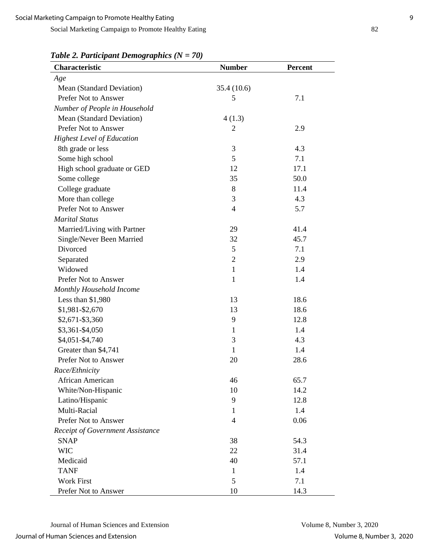*Table 2. Participant Demographics (N = 70)* 

| Characteristic                    | <b>Number</b>  | Percent |
|-----------------------------------|----------------|---------|
| Age                               |                |         |
| Mean (Standard Deviation)         | 35.4 (10.6)    |         |
| Prefer Not to Answer              | 5              | 7.1     |
| Number of People in Household     |                |         |
| Mean (Standard Deviation)         | 4(1.3)         |         |
| Prefer Not to Answer              | 2              | 2.9     |
| <b>Highest Level of Education</b> |                |         |
| 8th grade or less                 | 3              | 4.3     |
| Some high school                  | 5              | 7.1     |
| High school graduate or GED       | 12             | 17.1    |
| Some college                      | 35             | 50.0    |
| College graduate                  | 8              | 11.4    |
| More than college                 | 3              | 4.3     |
| Prefer Not to Answer              | $\overline{4}$ | 5.7     |
| <b>Marital Status</b>             |                |         |
| Married/Living with Partner       | 29             | 41.4    |
| Single/Never Been Married         | 32             | 45.7    |
| Divorced                          | 5              | 7.1     |
| Separated                         | $\overline{2}$ | 2.9     |
| Widowed                           | $\mathbf{1}$   | 1.4     |
| Prefer Not to Answer              | $\mathbf{1}$   | 1.4     |
| Monthly Household Income          |                |         |
| Less than \$1,980                 | 13             | 18.6    |
| \$1,981-\$2,670                   | 13             | 18.6    |
| \$2,671-\$3,360                   | 9              | 12.8    |
| \$3,361-\$4,050                   | $\mathbf{1}$   | 1.4     |
| \$4,051-\$4,740                   | 3              | 4.3     |
| Greater than \$4,741              | $\mathbf{1}$   | 1.4     |
| Prefer Not to Answer              | 20             | 28.6    |
| Race/Ethnicity                    |                |         |
| African American                  | 46             | 65.7    |
| White/Non-Hispanic                | 10             | 14.2    |
| Latino/Hispanic                   | 9              | 12.8    |
| Multi-Racial                      | $\mathbf{1}$   | 1.4     |
| Prefer Not to Answer              | $\overline{4}$ | 0.06    |
| Receipt of Government Assistance  |                |         |
| <b>SNAP</b>                       | 38             | 54.3    |
| <b>WIC</b>                        | 22             | 31.4    |
| Medicaid                          | 40             | 57.1    |
| <b>TANF</b>                       | $\mathbf{1}$   | 1.4     |
| <b>Work First</b>                 | 5              | 7.1     |
| Prefer Not to Answer              | 10             | 14.3    |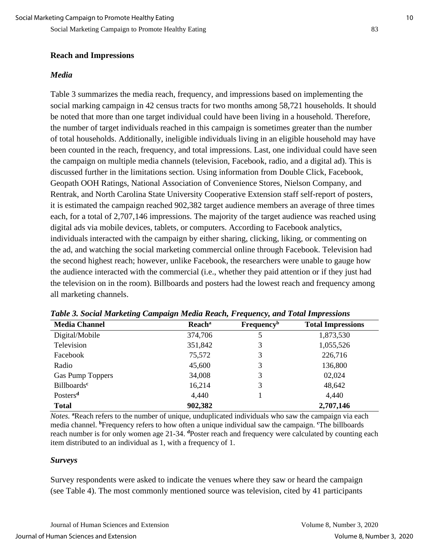#### **Reach and Impressions**

#### *Media*

Table 3 summarizes the media reach, frequency, and impressions based on implementing the social marking campaign in 42 census tracts for two months among 58,721 households. It should be noted that more than one target individual could have been living in a household. Therefore, the number of target individuals reached in this campaign is sometimes greater than the number of total households. Additionally, ineligible individuals living in an eligible household may have been counted in the reach, frequency, and total impressions. Last, one individual could have seen the campaign on multiple media channels (television, Facebook, radio, and a digital ad). This is discussed further in the limitations section. Using information from Double Click, Facebook, Geopath OOH Ratings, National Association of Convenience Stores, Nielson Company, and Rentrak, and North Carolina State University Cooperative Extension staff self-report of posters, it is estimated the campaign reached 902,382 target audience members an average of three times each, for a total of 2,707,146 impressions. The majority of the target audience was reached using digital ads via mobile devices, tablets, or computers. According to Facebook analytics, individuals interacted with the campaign by either sharing, clicking, liking, or commenting on the ad, and watching the social marketing commercial online through Facebook. Television had the second highest reach; however, unlike Facebook, the researchers were unable to gauge how the audience interacted with the commercial (i.e., whether they paid attention or if they just had the television on in the room). Billboards and posters had the lowest reach and frequency among all marketing channels.

| <b>Media Channel</b>          | <b>Reach</b> <sup>a</sup> | <b>Frequency</b> <sup>b</sup> | <b>Total Impressions</b> |
|-------------------------------|---------------------------|-------------------------------|--------------------------|
| Digital/Mobile                | 374,706                   | 5                             | 1,873,530                |
| Television                    | 351,842                   | 3                             | 1,055,526                |
| Facebook                      | 75,572                    | 3                             | 226,716                  |
| Radio                         | 45,600                    | 3                             | 136,800                  |
| <b>Gas Pump Toppers</b>       | 34,008                    | 3                             | 02,024                   |
| <b>Billboards<sup>c</sup></b> | 16,214                    | 3                             | 48,642                   |
| Posters <sup>d</sup>          | 4,440                     |                               | 4,440                    |
| <b>Total</b>                  | 902,382                   |                               | 2,707,146                |

*Table 3. Social Marketing Campaign Media Reach, Frequency, and Total Impressions* 

*Notes.* **<sup>a</sup>** Reach refers to the number of unique, unduplicated individuals who saw the campaign via each media channel. **<sup>b</sup>** Frequency refers to how often a unique individual saw the campaign. **<sup>c</sup>** The billboards reach number is for only women age 21-34. **<sup>d</sup>** Poster reach and frequency were calculated by counting each item distributed to an individual as 1, with a frequency of 1.

#### *Surveys*

Survey respondents were asked to indicate the venues where they saw or heard the campaign (see Table 4). The most commonly mentioned source was television, cited by 41 participants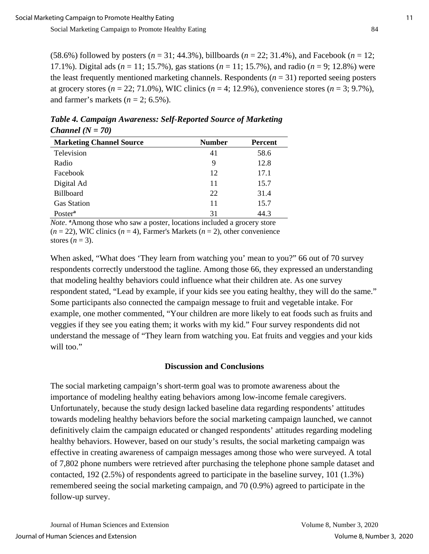(58.6%) followed by posters (*n* = 31; 44.3%), billboards (*n* = 22; 31.4%), and Facebook (*n* = 12; 17.1%). Digital ads (*n* = 11; 15.7%), gas stations (*n* = 11; 15.7%), and radio (*n* = 9; 12.8%) were the least frequently mentioned marketing channels. Respondents (*n* = 31) reported seeing posters at grocery stores ( $n = 22$ ; 71.0%), WIC clinics ( $n = 4$ ; 12.9%), convenience stores ( $n = 3$ ; 9.7%), and farmer's markets  $(n = 2, 6.5\%)$ .

| <b>Marketing Channel Source</b> | <b>Number</b> | <b>Percent</b> |
|---------------------------------|---------------|----------------|
| Television                      | 41            | 58.6           |
| Radio                           | 9             | 12.8           |
| Facebook                        | 12            | 17.1           |
| Digital Ad                      | 11            | 15.7           |
| Billboard                       | 22            | 31.4           |
| <b>Gas Station</b>              | 11            | 15.7           |
| Poster <sup>a</sup>             | 31            | 44.3           |

*Table 4. Campaign Awareness: Self-Reported Source of Marketing Channel (N = 70)* 

*Note*. **<sup>a</sup>** Among those who saw a poster, locations included a grocery store  $(n = 22)$ , WIC clinics  $(n = 4)$ , Farmer's Markets  $(n = 2)$ , other convenience stores  $(n = 3)$ .

When asked, "What does 'They learn from watching you' mean to you?" 66 out of 70 survey respondents correctly understood the tagline. Among those 66, they expressed an understanding that modeling healthy behaviors could influence what their children ate. As one survey respondent stated, "Lead by example, if your kids see you eating healthy, they will do the same." Some participants also connected the campaign message to fruit and vegetable intake. For example, one mother commented, "Your children are more likely to eat foods such as fruits and veggies if they see you eating them; it works with my kid." Four survey respondents did not understand the message of "They learn from watching you. Eat fruits and veggies and your kids will too."

#### **Discussion and Conclusions**

The social marketing campaign's short-term goal was to promote awareness about the importance of modeling healthy eating behaviors among low-income female caregivers. Unfortunately, because the study design lacked baseline data regarding respondents' attitudes towards modeling healthy behaviors before the social marketing campaign launched, we cannot definitively claim the campaign educated or changed respondents' attitudes regarding modeling healthy behaviors. However, based on our study's results, the social marketing campaign was effective in creating awareness of campaign messages among those who were surveyed. A total of 7,802 phone numbers were retrieved after purchasing the telephone phone sample dataset and contacted, 192 (2.5%) of respondents agreed to participate in the baseline survey, 101 (1.3%) remembered seeing the social marketing campaign, and 70 (0.9%) agreed to participate in the follow-up survey.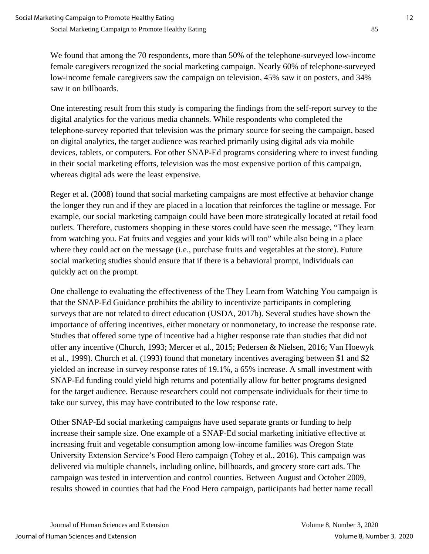We found that among the 70 respondents, more than 50% of the telephone-surveyed low-income female caregivers recognized the social marketing campaign. Nearly 60% of telephone-surveyed low-income female caregivers saw the campaign on television, 45% saw it on posters, and 34% saw it on billboards.

One interesting result from this study is comparing the findings from the self-report survey to the digital analytics for the various media channels. While respondents who completed the telephone-survey reported that television was the primary source for seeing the campaign, based on digital analytics, the target audience was reached primarily using digital ads via mobile devices, tablets, or computers. For other SNAP-Ed programs considering where to invest funding in their social marketing efforts, television was the most expensive portion of this campaign, whereas digital ads were the least expensive.

Reger et al. (2008) found that social marketing campaigns are most effective at behavior change the longer they run and if they are placed in a location that reinforces the tagline or message. For example, our social marketing campaign could have been more strategically located at retail food outlets. Therefore, customers shopping in these stores could have seen the message, "They learn from watching you. Eat fruits and veggies and your kids will too" while also being in a place where they could act on the message (i.e., purchase fruits and vegetables at the store). Future social marketing studies should ensure that if there is a behavioral prompt, individuals can quickly act on the prompt.

One challenge to evaluating the effectiveness of the They Learn from Watching You campaign is that the SNAP-Ed Guidance prohibits the ability to incentivize participants in completing surveys that are not related to direct education (USDA, 2017b). Several studies have shown the importance of offering incentives, either monetary or nonmonetary, to increase the response rate. Studies that offered some type of incentive had a higher response rate than studies that did not offer any incentive (Church, 1993; Mercer et al., 2015; Pedersen & Nielsen, 2016; Van Hoewyk et al., 1999). Church et al. (1993) found that monetary incentives averaging between \$1 and \$2 yielded an increase in survey response rates of 19.1%, a 65% increase. A small investment with SNAP-Ed funding could yield high returns and potentially allow for better programs designed for the target audience. Because researchers could not compensate individuals for their time to take our survey, this may have contributed to the low response rate.

Other SNAP-Ed social marketing campaigns have used separate grants or funding to help increase their sample size. One example of a SNAP-Ed social marketing initiative effective at increasing fruit and vegetable consumption among low-income families was Oregon State University Extension Service's Food Hero campaign (Tobey et al., 2016). This campaign was delivered via multiple channels, including online, billboards, and grocery store cart ads. The campaign was tested in intervention and control counties. Between August and October 2009, results showed in counties that had the Food Hero campaign, participants had better name recall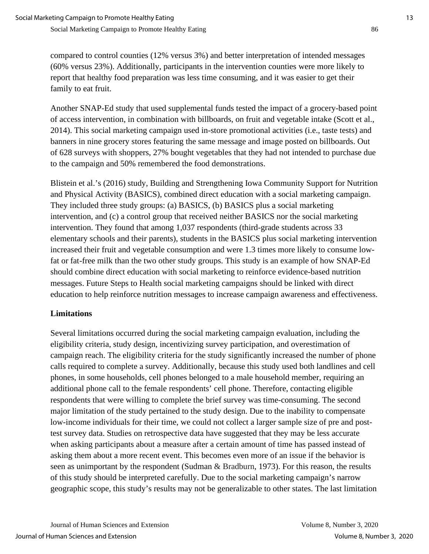compared to control counties (12% versus 3%) and better interpretation of intended messages (60% versus 23%). Additionally, participants in the intervention counties were more likely to report that healthy food preparation was less time consuming, and it was easier to get their family to eat fruit.

Another SNAP-Ed study that used supplemental funds tested the impact of a grocery-based point of access intervention, in combination with billboards, on fruit and vegetable intake (Scott et al., 2014). This social marketing campaign used in-store promotional activities (i.e., taste tests) and banners in nine grocery stores featuring the same message and image posted on billboards. Out of 628 surveys with shoppers, 27% bought vegetables that they had not intended to purchase due to the campaign and 50% remembered the food demonstrations.

Blistein et al.'s (2016) study, Building and Strengthening Iowa Community Support for Nutrition and Physical Activity (BASICS), combined direct education with a social marketing campaign. They included three study groups: (a) BASICS, (b) BASICS plus a social marketing intervention, and (c) a control group that received neither BASICS nor the social marketing intervention. They found that among 1,037 respondents (third-grade students across 33 elementary schools and their parents), students in the BASICS plus social marketing intervention increased their fruit and vegetable consumption and were 1.3 times more likely to consume lowfat or fat-free milk than the two other study groups. This study is an example of how SNAP-Ed should combine direct education with social marketing to reinforce evidence-based nutrition messages. Future Steps to Health social marketing campaigns should be linked with direct education to help reinforce nutrition messages to increase campaign awareness and effectiveness.

### **Limitations**

Several limitations occurred during the social marketing campaign evaluation, including the eligibility criteria, study design, incentivizing survey participation, and overestimation of campaign reach. The eligibility criteria for the study significantly increased the number of phone calls required to complete a survey. Additionally, because this study used both landlines and cell phones, in some households, cell phones belonged to a male household member, requiring an additional phone call to the female respondents' cell phone. Therefore, contacting eligible respondents that were willing to complete the brief survey was time-consuming. The second major limitation of the study pertained to the study design. Due to the inability to compensate low-income individuals for their time, we could not collect a larger sample size of pre and posttest survey data. Studies on retrospective data have suggested that they may be less accurate when asking participants about a measure after a certain amount of time has passed instead of asking them about a more recent event. This becomes even more of an issue if the behavior is seen as unimportant by the respondent (Sudman & Bradburn, 1973). For this reason, the results of this study should be interpreted carefully. Due to the social marketing campaign's narrow geographic scope, this study's results may not be generalizable to other states. The last limitation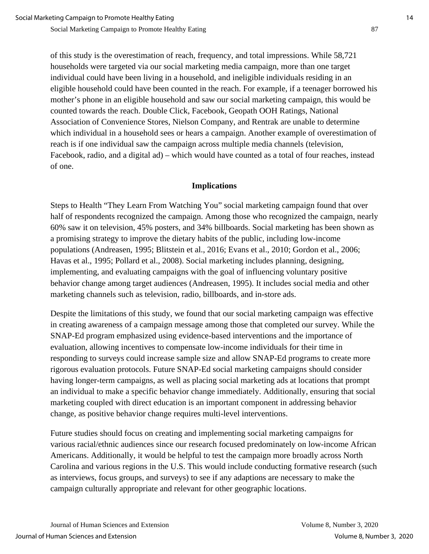of this study is the overestimation of reach, frequency, and total impressions. While 58,721 households were targeted via our social marketing media campaign, more than one target individual could have been living in a household, and ineligible individuals residing in an eligible household could have been counted in the reach. For example, if a teenager borrowed his mother's phone in an eligible household and saw our social marketing campaign, this would be counted towards the reach. Double Click, Facebook, Geopath OOH Ratings, National Association of Convenience Stores, Nielson Company, and Rentrak are unable to determine which individual in a household sees or hears a campaign. Another example of overestimation of reach is if one individual saw the campaign across multiple media channels (television, Facebook, radio, and a digital ad) – which would have counted as a total of four reaches, instead of one.

### **Implications**

Steps to Health "They Learn From Watching You" social marketing campaign found that over half of respondents recognized the campaign. Among those who recognized the campaign, nearly 60% saw it on television, 45% posters, and 34% billboards. Social marketing has been shown as a promising strategy to improve the dietary habits of the public, including low-income populations (Andreasen, 1995; Blitstein et al., 2016; Evans et al., 2010; Gordon et al., 2006; Havas et al., 1995; Pollard et al., 2008). Social marketing includes planning, designing, implementing, and evaluating campaigns with the goal of influencing voluntary positive behavior change among target audiences (Andreasen, 1995). It includes social media and other marketing channels such as television, radio, billboards, and in-store ads.

Despite the limitations of this study, we found that our social marketing campaign was effective in creating awareness of a campaign message among those that completed our survey. While the SNAP-Ed program emphasized using evidence-based interventions and the importance of evaluation, allowing incentives to compensate low-income individuals for their time in responding to surveys could increase sample size and allow SNAP-Ed programs to create more rigorous evaluation protocols. Future SNAP-Ed social marketing campaigns should consider having longer-term campaigns, as well as placing social marketing ads at locations that prompt an individual to make a specific behavior change immediately. Additionally, ensuring that social marketing coupled with direct education is an important component in addressing behavior change, as positive behavior change requires multi-level interventions.

Future studies should focus on creating and implementing social marketing campaigns for various racial/ethnic audiences since our research focused predominately on low-income African Americans. Additionally, it would be helpful to test the campaign more broadly across North Carolina and various regions in the U.S. This would include conducting formative research (such as interviews, focus groups, and surveys) to see if any adaptions are necessary to make the campaign culturally appropriate and relevant for other geographic locations.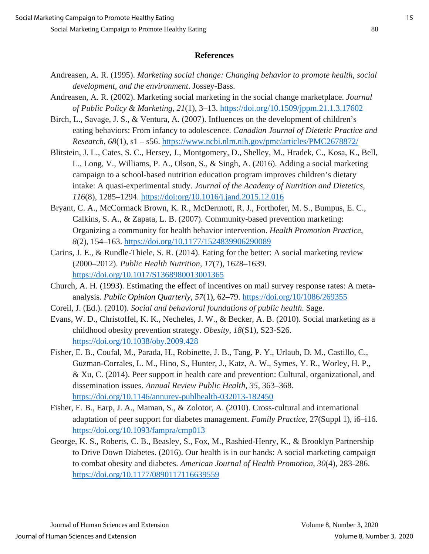#### **References**

- Andreasen, A. R. (1995). *Marketing social change: Changing behavior to promote health, social development, and the environment*. Jossey-Bass.
- Andreasen, A. R. (2002). Marketing social marketing in the social change marketplace. *Journal of Public Policy & Marketing*, *21*(1), 3–13.<https://doi.org/10.1509/jppm.21.1.3.17602>
- Birch, L., Savage, J. S., & Ventura, A. (2007). Influences on the development of children's eating behaviors: From infancy to adolescence. *Canadian Journal of Dietetic Practice and Research*, *68*(1), s1 – s56.<https://www.ncbi.nlm.nih.gov/pmc/articles/PMC2678872/>
- Blitstein, J. L., Cates, S. C., Hersey, J., Montgomery, D., Shelley, M., Hradek, C., Kosa, K., Bell, L., Long, V., Williams, P. A., Olson, S., & Singh, A. (2016). Adding a social marketing campaign to a school-based nutrition education program improves children's dietary intake: A quasi-experimental study. *Journal of the Academy of Nutrition and Dietetics*, *116*(8), 1285–1294.<https://doi:org/10.1016/j.jand.2015.12.016>
- Bryant, C. A., McCormack Brown, K. R., McDermott, R. J., Forthofer, M. S., Bumpus, E. C., Calkins, S. A., & Zapata, L. B. (2007). Community-based prevention marketing: Organizing a community for health behavior intervention. *Health Promotion Practice*, *8*(2), 154–163.<https://doi.org/10.1177/1524839906290089>
- Carins, J. E., & Rundle-Thiele, S. R. (2014). Eating for the better: A social marketing review (2000–2012). *Public Health Nutrition*, *17*(7), 1628–1639. <https://doi.org/10.1017/S1368980013001365>
- Church, A. H. (1993). Estimating the effect of incentives on mail survey response rates: A metaanalysis. *Public Opinion Quarterly*, *57*(1), 62–79.<https://doi.org/10/1086/269355>
- Coreil, J. (Ed.). (2010). *Social and behavioral foundations of public health*. Sage.
- Evans, W. D., Christoffel, K. K., Necheles, J. W., & Becker, A. B. (2010). Social marketing as a childhood obesity prevention strategy. *Obesity*, *18*(S1), S23-S26. <https://doi.org/10.1038/oby.2009.428>
- Fisher, E. B., Coufal, M., Parada, H., Robinette, J. B., Tang, P. Y., Urlaub, D. M., Castillo, C., Guzman-Corrales, L. M., Hino, S., Hunter, J., Katz, A. W., Symes, Y. R., Worley, H. P., & Xu, C. (2014). Peer support in health care and prevention: Cultural, organizational, and dissemination issues. *Annual Review Public Health, 35*, 363–368. <https://doi.org/10.1146/annurev-publhealth-032013-182450>
- Fisher, E. B., Earp, J. A., Maman, S., & Zolotor, A. (2010). Cross-cultural and international adaptation of peer support for diabetes management. *Family Practice,* 27(Suppl 1), i6–i16. <https://doi.org/10.1093/fampra/cmp013>
- George, K. S., Roberts, C. B., Beasley, S., Fox, M., Rashied-Henry, K., & Brooklyn Partnership to Drive Down Diabetes. (2016). Our health is in our hands: A social marketing campaign to combat obesity and diabetes. *American Journal of Health Promotion*, *30*(4), 283–286. <https://doi.org/10.1177/0890117116639559>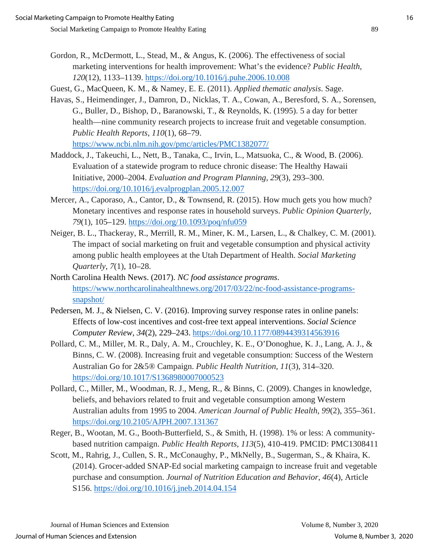- 
- Gordon, R., McDermott, L., Stead, M., & Angus, K. (2006). The effectiveness of social marketing interventions for health improvement: What's the evidence? *Public Health*, *120*(12), 1133–1139.<https://doi.org/10.1016/j.puhe.2006.10.008>
- Guest, G., MacQueen, K. M., & Namey, E. E. (2011). *Applied thematic analysis*. Sage.
- Havas, S., Heimendinger, J., Damron, D., Nicklas, T. A., Cowan, A., Beresford, S. A., Sorensen, G., Buller, D., Bishop, D., Baranowski, T., & Reynolds, K. (1995). 5 a day for better health—nine community research projects to increase fruit and vegetable consumption. *Public Health Reports*, *110*(1), 68–79. <https://www.ncbi.nlm.nih.gov/pmc/articles/PMC1382077/>
- Maddock, J., Takeuchi, L., Nett, B., Tanaka, C., Irvin, L., Matsuoka, C., & Wood, B. (2006). Evaluation of a statewide program to reduce chronic disease: The Healthy Hawaii Initiative, 2000–2004. *Evaluation and Program Planning*, *29*(3), 293–300. <https://doi.org/10.1016/j.evalprogplan.2005.12.007>
- Mercer, A., Caporaso, A., Cantor, D., & Townsend, R. (2015). How much gets you how much? Monetary incentives and response rates in household surveys. *Public Opinion Quarterly*, *79*(1), 105–129.<https://doi.org/10.1093/poq/nfu059>
- Neiger, B. L., Thackeray, R., Merrill, R. M., Miner, K. M., Larsen, L., & Chalkey, C. M. (2001). The impact of social marketing on fruit and vegetable consumption and physical activity among public health employees at the Utah Department of Health. *Social Marketing Quarterly*, *7*(1), 10–28.
- North Carolina Health News. (2017). *NC food assistance programs*. [https://www.northcarolinahealthnews.org/2017/03/22/nc-food-assistance-programs](https://www.northcarolinahealthnews.org/2017/03/22/nc-food-assistance-programs-snapshot/)[snapshot/](https://www.northcarolinahealthnews.org/2017/03/22/nc-food-assistance-programs-snapshot/)
- Pedersen, M. J., & Nielsen, C. V. (2016). Improving survey response rates in online panels: Effects of low-cost incentives and cost-free text appeal interventions. *Social Science Computer Review, 34*(2), 229–243.<https://doi.org/10.1177/0894439314563916>
- Pollard, C. M., Miller, M. R., Daly, A. M., Crouchley, K. E., O'Donoghue, K. J., Lang, A. J., & Binns, C. W. (2008). Increasing fruit and vegetable consumption: Success of the Western Australian Go for 2&5® Campaign. *Public Health Nutrition*, *11*(3), 314–320. <https://doi.org/10.1017/S1368980007000523>
- Pollard, C., Miller, M., Woodman, R. J., Meng, R., & Binns, C. (2009). Changes in knowledge, beliefs, and behaviors related to fruit and vegetable consumption among Western Australian adults from 1995 to 2004. *American Journal of Public Health*, *99*(2), 355–361. <https://doi.org/10.2105/AJPH.2007.131367>
- Reger, B., Wootan, M. G., Booth-Butterfield, S., & Smith, H. (1998). 1% or less: A communitybased nutrition campaign. *Public Health Reports*, *113*(5), 410-419. PMCID: [PMC1308411](http://www.ncbi.nlm.nih.gov/pmc/articles/pmc1308411/)
- Scott, M., Rahrig, J., Cullen, S. R., McConaughy, P., MkNelly, B., Sugerman, S., & Khaira, K. (2014). Grocer-added SNAP-Ed social marketing campaign to increase fruit and vegetable purchase and consumption. *Journal of Nutrition Education and Behavior*, *46*(4), Article S156.<https://doi.org/10.1016/j.jneb.2014.04.154>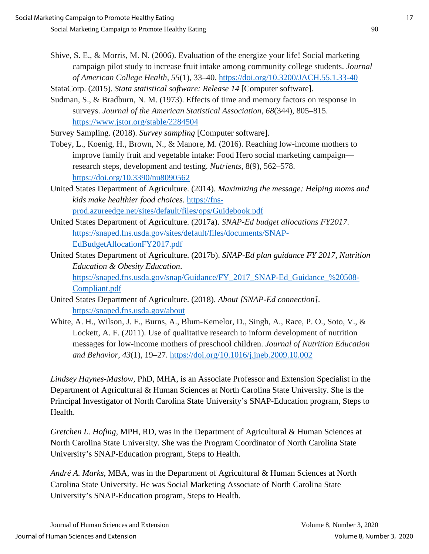StataCorp. (2015). *Stata statistical software: Release 14* [Computer software].

Sudman, S., & Bradburn, N. M. (1973). Effects of time and memory factors on response in surveys. *Journal of the American Statistical Association*, *68*(344), 805–815. <https://www.jstor.org/stable/2284504>

Survey Sampling. (2018). *Survey sampling* [Computer software].

Tobey, L., Koenig, H., Brown, N., & Manore, M. (2016). Reaching low-income mothers to improve family fruit and vegetable intake: Food Hero social marketing campaign research steps, development and testing. *Nutrients*, 8(9), 562–578. <https://doi.org/10.3390/nu8090562>

United States Department of Agriculture. (2014). *Maximizing the message: Helping moms and kids make healthier food choices*. [https://fns](https://fns-prod.azureedge.net/sites/default/files/ops/Guidebook.pdf)[prod.azureedge.net/sites/default/files/ops/Guidebook.pdf](https://fns-prod.azureedge.net/sites/default/files/ops/Guidebook.pdf)

- United States Department of Agriculture. (2017a). *SNAP-Ed budget allocations FY2017*. https://snaped.fns.usda.gov/sites/default/files/documents/SNAP-EdBudgetAllocationFY2017.pdf
- United States Department of Agriculture. (2017b). *SNAP-Ed plan guidance FY 2017, Nutrition Education & Obesity Education*. [https://snaped.fns.usda.gov/snap/Guidance/FY\\_2017\\_SNAP-Ed\\_Guidance\\_%20508-](https://snaped.fns.usda.gov/snap/Guidance/FY_2017_SNAP-Ed_Guidance_%20508-Compliant.pdf) [Compliant.pdf](https://snaped.fns.usda.gov/snap/Guidance/FY_2017_SNAP-Ed_Guidance_%20508-Compliant.pdf)
- United States Department of Agriculture. (2018). *About [SNAP-Ed connection]*. <https://snaped.fns.usda.gov/about>
- White, A. H., Wilson, J. F., Burns, A., Blum-Kemelor, D., Singh, A., Race, P. O., Soto, V., & Lockett, A. F. (2011). Use of qualitative research to inform development of nutrition messages for low-income mothers of preschool children. *Journal of Nutrition Education and Behavior*, *43*(1), 19–27.<https://doi.org/10.1016/j.jneb.2009.10.002>

*Lindsey Haynes-Maslow,* PhD, MHA, is an Associate Professor and Extension Specialist in the Department of Agricultural & Human Sciences at North Carolina State University. She is the Principal Investigator of North Carolina State University's SNAP-Education program, Steps to Health.

*Gretchen L. Hofing,* MPH, RD, was in the Department of Agricultural & Human Sciences at North Carolina State University. She was the Program Coordinator of North Carolina State University's SNAP-Education program, Steps to Health.

*André A. Marks,* MBA, was in the Department of Agricultural & Human Sciences at North Carolina State University. He was Social Marketing Associate of North Carolina State University's SNAP-Education program, Steps to Health.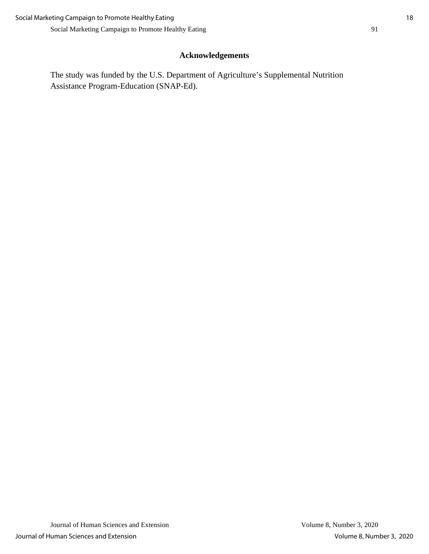# **Acknowledgements**

The study was funded by the U.S. Department of Agriculture's Supplemental Nutrition Assistance Program-Education (SNAP-Ed).